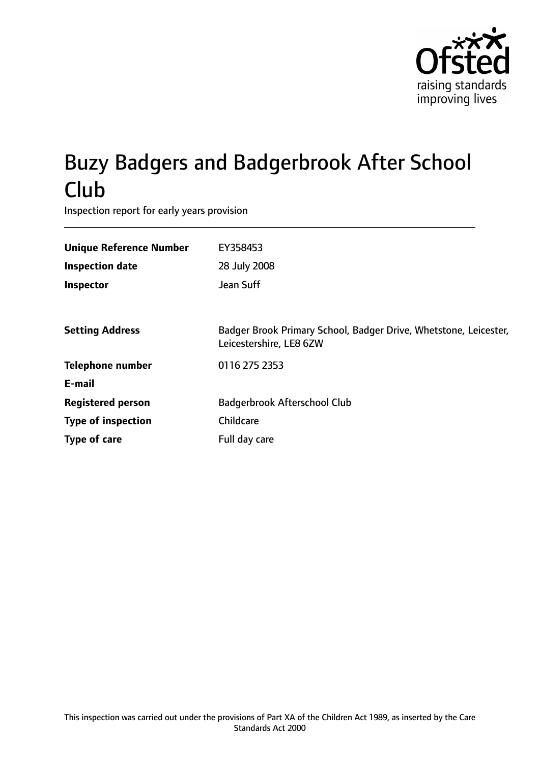

# Buzy Badgers and Badgerbrook After School Club

Inspection report for early years provision

| <b>Unique Reference Number</b><br><b>Inspection date</b><br>Inspector | EY358453<br>28 July 2008<br>Jean Suff                                                       |
|-----------------------------------------------------------------------|---------------------------------------------------------------------------------------------|
| <b>Setting Address</b>                                                | Badger Brook Primary School, Badger Drive, Whetstone, Leicester,<br>Leicestershire, LE8 6ZW |
| <b>Telephone number</b>                                               | 0116 275 2353                                                                               |
| E-mail                                                                |                                                                                             |
| <b>Registered person</b>                                              | Badgerbrook Afterschool Club                                                                |
| <b>Type of inspection</b>                                             | Childcare                                                                                   |
| Type of care                                                          | Full day care                                                                               |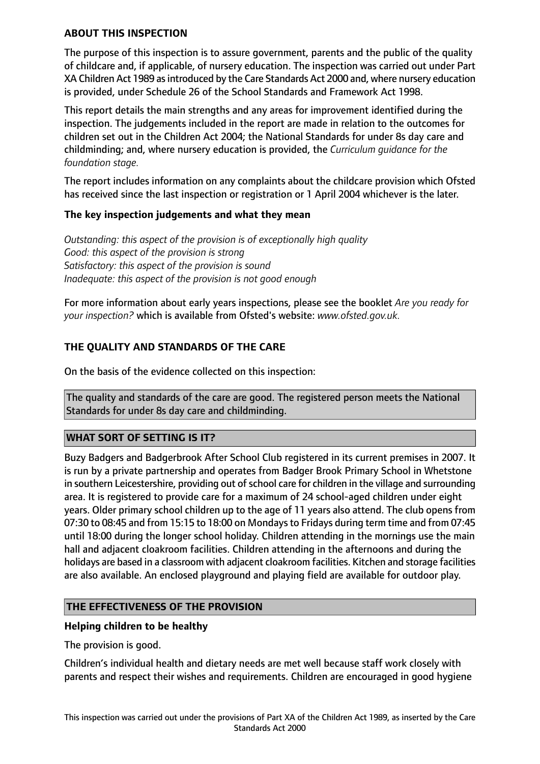## **ABOUT THIS INSPECTION**

The purpose of this inspection is to assure government, parents and the public of the quality of childcare and, if applicable, of nursery education. The inspection was carried out under Part XA Children Act 1989 as introduced by the Care Standards Act 2000 and, where nursery education is provided, under Schedule 26 of the School Standards and Framework Act 1998.

This report details the main strengths and any areas for improvement identified during the inspection. The judgements included in the report are made in relation to the outcomes for children set out in the Children Act 2004; the National Standards for under 8s day care and childminding; and, where nursery education is provided, the *Curriculum guidance for the foundation stage.*

The report includes information on any complaints about the childcare provision which Ofsted has received since the last inspection or registration or 1 April 2004 whichever is the later.

### **The key inspection judgements and what they mean**

*Outstanding: this aspect of the provision is of exceptionally high quality Good: this aspect of the provision is strong Satisfactory: this aspect of the provision is sound Inadequate: this aspect of the provision is not good enough*

For more information about early years inspections, please see the booklet *Are you ready for your inspection?* which is available from Ofsted's website: *www.ofsted.gov.uk.*

# **THE QUALITY AND STANDARDS OF THE CARE**

On the basis of the evidence collected on this inspection:

The quality and standards of the care are good. The registered person meets the National Standards for under 8s day care and childminding.

### **WHAT SORT OF SETTING IS IT?**

Buzy Badgers and Badgerbrook After School Club registered in its current premises in 2007. It is run by a private partnership and operates from Badger Brook Primary School in Whetstone in southern Leicestershire, providing out of school care for children in the village and surrounding area. It is registered to provide care for a maximum of 24 school-aged children under eight years. Older primary school children up to the age of 11 years also attend. The club opens from 07:30 to 08:45 and from 15:15 to 18:00 on Mondaysto Fridays during term time and from 07:45 until 18:00 during the longer school holiday. Children attending in the mornings use the main hall and adjacent cloakroom facilities. Children attending in the afternoons and during the holidays are based in a classroom with adjacent cloakroom facilities. Kitchen and storage facilities are also available. An enclosed playground and playing field are available for outdoor play.

### **THE EFFECTIVENESS OF THE PROVISION**

### **Helping children to be healthy**

The provision is good.

Children's individual health and dietary needs are met well because staff work closely with parents and respect their wishes and requirements. Children are encouraged in good hygiene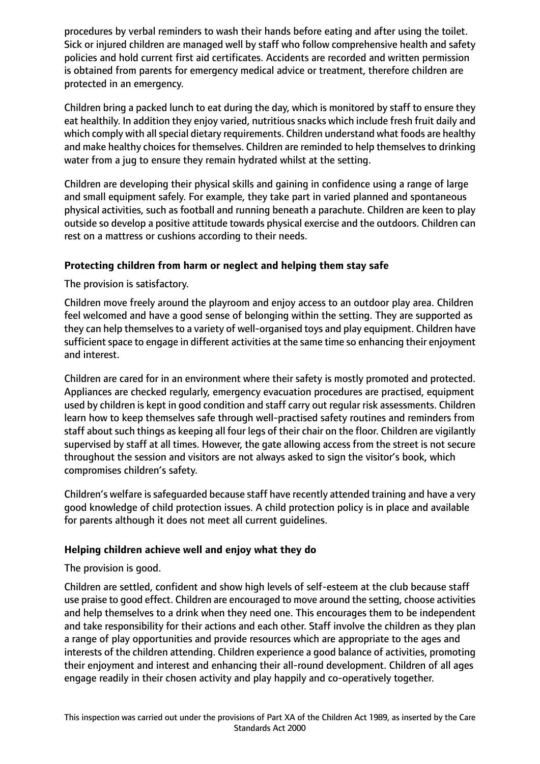procedures by verbal reminders to wash their hands before eating and after using the toilet. Sick or injured children are managed well by staff who follow comprehensive health and safety policies and hold current first aid certificates. Accidents are recorded and written permission is obtained from parents for emergency medical advice or treatment, therefore children are protected in an emergency.

Children bring a packed lunch to eat during the day, which is monitored by staff to ensure they eat healthily. In addition they enjoy varied, nutritious snacks which include fresh fruit daily and which comply with all special dietary requirements. Children understand what foods are healthy and make healthy choices for themselves. Children are reminded to help themselves to drinking water from a jug to ensure they remain hydrated whilst at the setting.

Children are developing their physical skills and gaining in confidence using a range of large and small equipment safely. For example, they take part in varied planned and spontaneous physical activities, such as football and running beneath a parachute. Children are keen to play outside so develop a positive attitude towards physical exercise and the outdoors. Children can rest on a mattress or cushions according to their needs.

# **Protecting children from harm or neglect and helping them stay safe**

The provision is satisfactory.

Children move freely around the playroom and enjoy access to an outdoor play area. Children feel welcomed and have a good sense of belonging within the setting. They are supported as they can help themselves to a variety of well-organised toys and play equipment. Children have sufficient space to engage in different activities at the same time so enhancing their enjoyment and interest.

Children are cared for in an environment where their safety is mostly promoted and protected. Appliances are checked regularly, emergency evacuation procedures are practised, equipment used by children is kept in good condition and staff carry out regular risk assessments. Children learn how to keep themselves safe through well-practised safety routines and reminders from staff about such things as keeping all four legs of their chair on the floor. Children are vigilantly supervised by staff at all times. However, the gate allowing access from the street is not secure throughout the session and visitors are not always asked to sign the visitor's book, which compromises children's safety.

Children's welfare is safeguarded because staff have recently attended training and have a very good knowledge of child protection issues. A child protection policy is in place and available for parents although it does not meet all current guidelines.

### **Helping children achieve well and enjoy what they do**

The provision is good.

Children are settled, confident and show high levels of self-esteem at the club because staff use praise to good effect. Children are encouraged to move around the setting, choose activities and help themselves to a drink when they need one. This encourages them to be independent and take responsibility for their actions and each other. Staff involve the children as they plan a range of play opportunities and provide resources which are appropriate to the ages and interests of the children attending. Children experience a good balance of activities, promoting their enjoyment and interest and enhancing their all-round development. Children of all ages engage readily in their chosen activity and play happily and co-operatively together.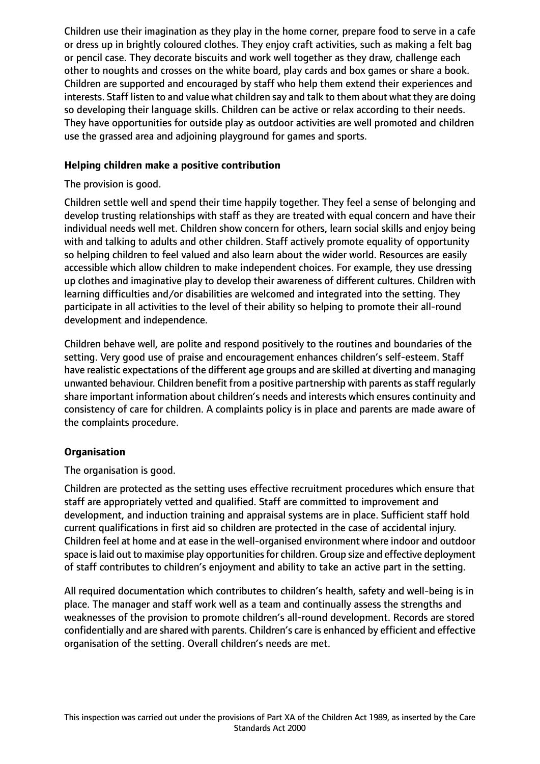Children use their imagination as they play in the home corner, prepare food to serve in a cafe or dress up in brightly coloured clothes. They enjoy craft activities, such as making a felt bag or pencil case. They decorate biscuits and work well together as they draw, challenge each other to noughts and crosses on the white board, play cards and box games or share a book. Children are supported and encouraged by staff who help them extend their experiences and interests. Staff listen to and value what children say and talk to them about what they are doing so developing their language skills. Children can be active or relax according to their needs. They have opportunities for outside play as outdoor activities are well promoted and children use the grassed area and adjoining playground for games and sports.

## **Helping children make a positive contribution**

The provision is good.

Children settle well and spend their time happily together. They feel a sense of belonging and develop trusting relationships with staff as they are treated with equal concern and have their individual needs well met. Children show concern for others, learn social skills and enjoy being with and talking to adults and other children. Staff actively promote equality of opportunity so helping children to feel valued and also learn about the wider world. Resources are easily accessible which allow children to make independent choices. For example, they use dressing up clothes and imaginative play to develop their awareness of different cultures. Children with learning difficulties and/or disabilities are welcomed and integrated into the setting. They participate in all activities to the level of their ability so helping to promote their all-round development and independence.

Children behave well, are polite and respond positively to the routines and boundaries of the setting. Very good use of praise and encouragement enhances children's self-esteem. Staff have realistic expectations of the different age groups and are skilled at diverting and managing unwanted behaviour. Children benefit from a positive partnership with parents as staff regularly share important information about children's needs and interests which ensures continuity and consistency of care for children. A complaints policy is in place and parents are made aware of the complaints procedure.

# **Organisation**

The organisation is good.

Children are protected as the setting uses effective recruitment procedures which ensure that staff are appropriately vetted and qualified. Staff are committed to improvement and development, and induction training and appraisal systems are in place. Sufficient staff hold current qualifications in first aid so children are protected in the case of accidental injury. Children feel at home and at ease in the well-organised environment where indoor and outdoor space is laid out to maximise play opportunities for children. Group size and effective deployment of staff contributes to children's enjoyment and ability to take an active part in the setting.

All required documentation which contributes to children's health, safety and well-being is in place. The manager and staff work well as a team and continually assess the strengths and weaknesses of the provision to promote children's all-round development. Records are stored confidentially and are shared with parents. Children's care is enhanced by efficient and effective organisation of the setting. Overall children's needs are met.